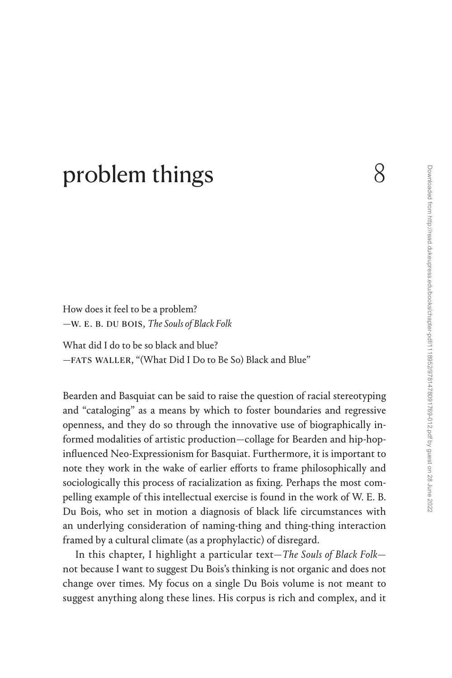## [problem things](#page--1-0) 8

How does it feel to be a problem? —w. e. b. du bois, *The Souls of Black Folk*

What did I do to be so black and blue? —fats waller, "(What Did I Do to Be So) Black and Blue"

Bearden and Basquiat can be said to raise the question of racial stereotyping and "cataloging" as a means by which to foster boundaries and regressive openness, and they do so through the innovative use of biographically informed modalities of artistic production—collage for Bearden and hip-hopinfluenced Neo-Expressionism for Basquiat. Furthermore, it is important to note they work in the wake of earlier efforts to frame philosophically and sociologically this process of racialization as fixing. Perhaps the most compelling example of this intellectual exercise is found in the work of W. E. B. Du Bois, who set in motion a diagnosis of black life circumstances with an underlying consideration of naming-thing and thing-thing interaction framed by a cultural climate (as a prophylactic) of disregard.

In this chapter, I highlight a particular text—*The Souls of Black Folk* not because I want to suggest Du Bois's thinking is not organic and does not change over times. My focus on a single Du Bois volume is not meant to suggest anything along these lines. His corpus is rich and complex, and it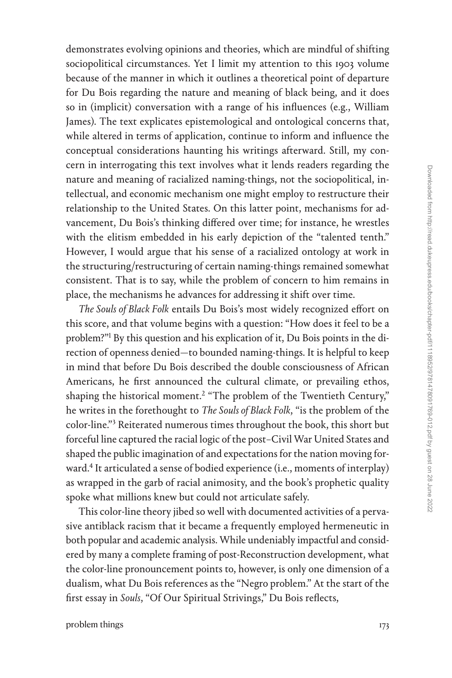demonstrates evolving opinions and theories, which are mindful of shifting sociopolitical circumstances. Yet I limit my attention to this 1903 volume because of the manner in which it outlines a theoretical point of departure for Du Bois regarding the nature and meaning of black being, and it does so in (implicit) conversation with a range of his influences (e.g., William James). The text explicates epistemological and ontological concerns that, while altered in terms of application, continue to inform and influence the conceptual considerations haunting his writings afterward. Still, my concern in interrogating this text involves what it lends readers regarding the nature and meaning of racialized naming-things, not the sociopolitical, intellectual, and economic mechanism one might employ to restructure their relationship to the United States. On this latter point, mechanisms for advancement, Du Bois's thinking differed over time; for instance, he wrestles with the elitism embedded in his early depiction of the "talented tenth." However, I would argue that his sense of a racialized ontology at work in the structuring/restructuring of certain naming-things remained somewhat consistent. That is to say, while the problem of concern to him remains in place, the mechanisms he advances for addressing it shift over time.

*The Souls of Black Folk* entails Du Bois's most widely recognized effort on this score, and that volume begins with a question: "How does it feel to be a problem?"[1](#page--1-0) By this question and his explication of it, Du Bois points in the direction of openness denied—to bounded naming-things. It is helpful to keep in mind that before Du Bois described the double consciousness of African Americans, he first announced the cultural climate, or prevailing ethos, shaping the historical moment.<sup>[2](#page--1-0)</sup> "The problem of the Twentieth Century," he writes in the forethought to *The Souls of Black Folk*, "is the problem of the color-line."[3](#page--1-0) Reiterated numerous times throughout the book, this short but forceful line captured the racial logic of the post–Civil War United States and shaped the public imagination of and expectations for the nation moving forward[.4](#page--1-0) It articulated a sense of bodied experience (i.e., moments of interplay) as wrapped in the garb of racial animosity, and the book's prophetic quality spoke what millions knew but could not articulate safely.

This color-line theory jibed so well with documented activities of a pervasive antiblack racism that it became a frequently employed hermeneutic in both popular and academic analysis. While undeniably impactful and considered by many a complete framing of post-Reconstruction development, what the color-line pronouncement points to, however, is only one dimension of a dualism, what Du Bois references as the "Negro problem." At the start of the first essay in *Souls*, "Of Our Spiritual Strivings," Du Bois reflects,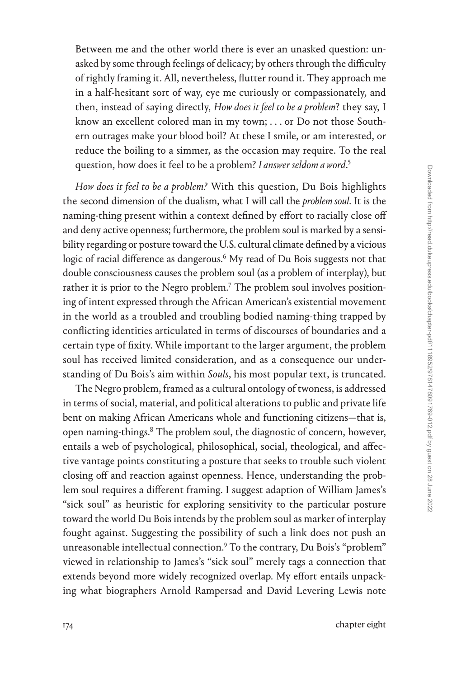Between me and the other world there is ever an unasked question: unasked by some through feelings of delicacy; by others through the difficulty of rightly framing it. All, nevertheless, flutter round it. They approach me in a half-hesitant sort of way, eye me curiously or compassionately, and then, instead of saying directly, *How does it feel to be a problem*? they say, I know an excellent colored man in my town; . . . or Do not those Southern outrages make your blood boil? At these I smile, or am interested, or reduce the boiling to a simmer, as the occasion may require. To the real question, how does it feel to be a problem? *I answer seldom a word*. [5](#page--1-0)

*How does it feel to be a problem?* With this question, Du Bois highlights the second dimension of the dualism, what I will call the *problem soul*. It is the naming-thing present within a context defined by effort to racially close off and deny active openness; furthermore, the problem soul is marked by a sensibility regarding or posture toward the U.S. cultural climate defined by a vicious logic of racial difference as dangerous.<sup>6</sup> My read of Du Bois suggests not that double consciousness causes the problem soul (as a problem of interplay), but rather it is prior to the Negro problem.<sup>7</sup> The problem soul involves positioning of intent expressed through the African American's existential movement in the world as a troubled and troubling bodied naming-thing trapped by conflicting identities articulated in terms of discourses of boundaries and a certain type of fixity. While important to the larger argument, the problem soul has received limited consideration, and as a consequence our understanding of Du Bois's aim within *Souls*, his most popular text, is truncated.

The Negro problem, framed as a cultural ontology of twoness, is addressed in terms of social, material, and political alterations to public and private life bent on making African Americans whole and functioning citizens—that is, open naming-things.<sup>8</sup> The problem soul, the diagnostic of concern, however, entails a web of psychological, philosophical, social, theological, and affective vantage points constituting a posture that seeks to trouble such violent closing off and reaction against openness. Hence, understanding the problem soul requires a different framing. I suggest adaption of William James's "sick soul" as heuristic for exploring sensitivity to the particular posture toward the world Du Bois intends by the problem soul as marker of interplay fought against. Suggesting the possibility of such a link does not push an unreasonable intellectual connection.<sup>9</sup> To the contrary, Du Bois's "problem" viewed in relationship to James's "sick soul" merely tags a connection that extends beyond more widely recognized overlap. My effort entails unpacking what biographers Arnold Rampersad and David Levering Lewis note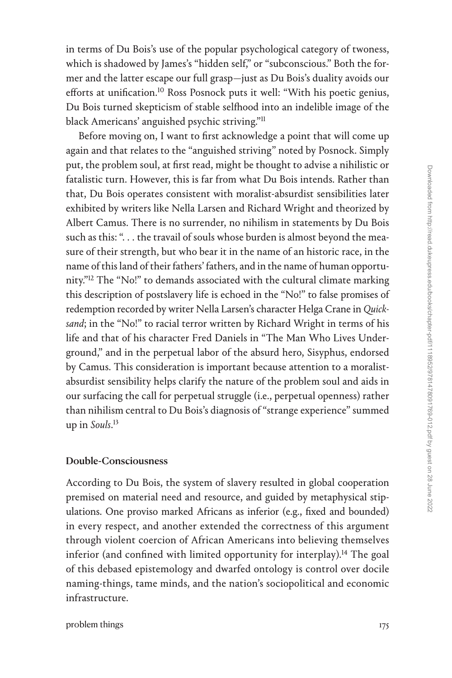in terms of Du Bois's use of the popular psychological category of twoness, which is shadowed by James's "hidden self," or "subconscious." Both the former and the latter escape our full grasp—just as Du Bois's duality avoids our efforts at unification.<sup>10</sup> Ross Posnock puts it well: "With his poetic genius, Du Bois turned skepticism of stable selfhood into an indelible image of the black Americans' anguished psychic striving.["11](#page--1-0)

Before moving on, I want to first acknowledge a point that will come up again and that relates to the "anguished striving" noted by Posnock. Simply put, the problem soul, at first read, might be thought to advise a nihilistic or fatalistic turn. However, this is far from what Du Bois intends. Rather than that, Du Bois operates consistent with moralist-absurdist sensibilities later exhibited by writers like Nella Larsen and Richard Wright and theorized by Albert Camus. There is no surrender, no nihilism in statements by Du Bois such as this: "... the travail of souls whose burden is almost beyond the measure of their strength, but who bear it in the name of an historic race, in the name of this land of their fathers' fathers, and in the name of human opportunity.["12](#page--1-0) The "No!" to demands associated with the cultural climate marking this description of postslavery life is echoed in the "No!" to false promises of redemption recorded by writer Nella Larsen's character Helga Crane in *Quicksand*; in the "No!" to racial terror written by Richard Wright in terms of his life and that of his character Fred Daniels in "The Man Who Lives Underground," and in the perpetual labor of the absurd hero, Sisyphus, endorsed by Camus. This consideration is important because attention to a moralistabsurdist sensibility helps clarify the nature of the problem soul and aids in our surfacing the call for perpetual struggle (i.e., perpetual openness) rather than nihilism central to Du Bois's diagnosis of "strange experience" summed up in *Souls*. [13](#page--1-0)

## Double-Consciousness

According to Du Bois, the system of slavery resulted in global cooperation premised on material need and resource, and guided by metaphysical stipulations. One proviso marked Africans as inferior (e.g., fixed and bounded) in every respect, and another extended the correctness of this argument through violent coercion of African Americans into believing themselves inferior (and confined with limited opportunity for interplay).<sup>14</sup> The goal of this debased epistemology and dwarfed ontology is control over docile naming-things, tame minds, and the nation's sociopolitical and economic infrastructure.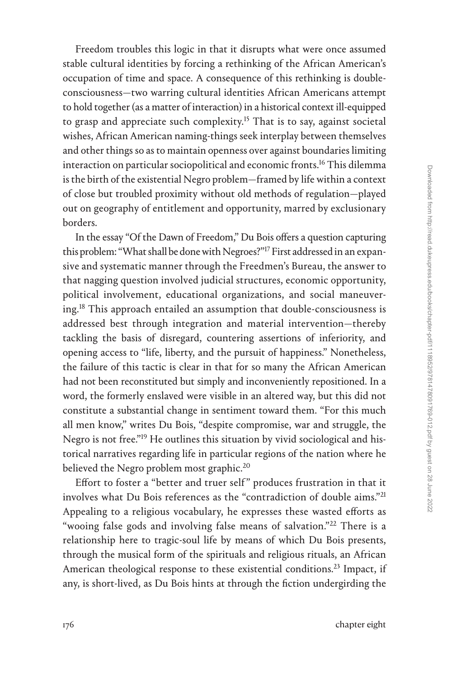Freedom troubles this logic in that it disrupts what were once assumed stable cultural identities by forcing a rethinking of the African American's occupation of time and space. A consequence of this rethinking is doubleconsciousness—two warring cultural identities African Americans attempt to hold together (as a matter of interaction) in a historical context ill-equipped to grasp and appreciate such complexity.<sup>15</sup> That is to say, against societal wishes, African American naming-things seek interplay between themselves and other things so as to maintain openness over against boundaries limiting interaction on particular sociopolitical and economic fronts.<sup>16</sup> This dilemma is the birth of the existential Negro problem—framed by life within a context of close but troubled proximity without old methods of regulation—played out on geography of entitlement and opportunity, marred by exclusionary borders.

In the essay "Of the Dawn of Freedom," Du Bois offers a question capturing this problem: "What shall be done with Negroes?"[17](#page--1-0) First addressed in an expansive and systematic manner through the Freedmen's Bureau, the answer to that nagging question involved judicial structures, economic opportunity, political involvement, educational organizations, and social maneuvering.[18](#page--1-0) This approach entailed an assumption that double-consciousness is addressed best through integration and material intervention—thereby tackling the basis of disregard, countering assertions of inferiority, and opening access to "life, liberty, and the pursuit of happiness." Nonetheless, the failure of this tactic is clear in that for so many the African American had not been reconstituted but simply and inconveniently repositioned. In a word, the formerly enslaved were visible in an altered way, but this did not constitute a substantial change in sentiment toward them. "For this much all men know," writes Du Bois, "despite compromise, war and struggle, the Negro is not free."[19](#page--1-0) He outlines this situation by vivid sociological and historical narratives regarding life in particular regions of the nation where he believed the Negro problem most graphic.<sup>20</sup>

Effort to foster a "better and truer self" produces frustration in that it involves what Du Bois references as the "contradiction of double aims."[21](#page--1-0) Appealing to a religious vocabulary, he expresses these wasted efforts as "wooing false gods and involving false means of salvation."<sup>[22](#page--1-0)</sup> There is a relationship here to tragic-soul life by means of which Du Bois presents, through the musical form of the spirituals and religious rituals, an African American theological response to these existential conditions.<sup>23</sup> Impact, if any, is short-lived, as Du Bois hints at through the fiction undergirding the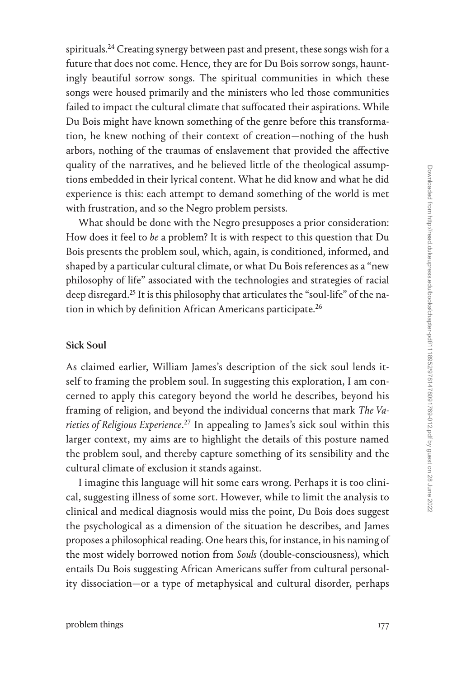spirituals.<sup>24</sup> Creating synergy between past and present, these songs wish for a future that does not come. Hence, they are for Du Bois sorrow songs, hauntingly beautiful sorrow songs. The spiritual communities in which these songs were housed primarily and the ministers who led those communities failed to impact the cultural climate that suffocated their aspirations. While Du Bois might have known something of the genre before this transformation, he knew nothing of their context of creation—nothing of the hush arbors, nothing of the traumas of enslavement that provided the affective quality of the narratives, and he believed little of the theological assumptions embedded in their lyrical content. What he did know and what he did experience is this: each attempt to demand something of the world is met with frustration, and so the Negro problem persists.

What should be done with the Negro presupposes a prior consideration: How does it feel to *be* a problem? It is with respect to this question that Du Bois presents the problem soul, which, again, is conditioned, informed, and shaped by a particular cultural climate, or what Du Bois references as a "new philosophy of life" associated with the technologies and strategies of racial deep disregard.[25](#page--1-0) It is this philosophy that articulates the "soul-life" of the nation in which by definition African Americans participate.<sup>26</sup>

## Sick Soul

As claimed earlier, William James's description of the sick soul lends itself to framing the problem soul. In suggesting this exploration, I am concerned to apply this category beyond the world he describes, beyond his framing of religion, and beyond the individual concerns that mark *The Varieties of Religious Experience*. [27](#page--1-0) In appealing to James's sick soul within this larger context, my aims are to highlight the details of this posture named the problem soul, and thereby capture something of its sensibility and the cultural climate of exclusion it stands against.

I imagine this language will hit some ears wrong. Perhaps it is too clinical, suggesting illness of some sort. However, while to limit the analysis to clinical and medical diagnosis would miss the point, Du Bois does suggest the psychological as a dimension of the situation he describes, and James proposes a philosophical reading. One hears this, for instance, in his naming of the most widely borrowed notion from *Souls* (double-consciousness), which entails Du Bois suggesting African Americans suffer from cultural personality dissociation—or a type of metaphysical and cultural disorder, perhaps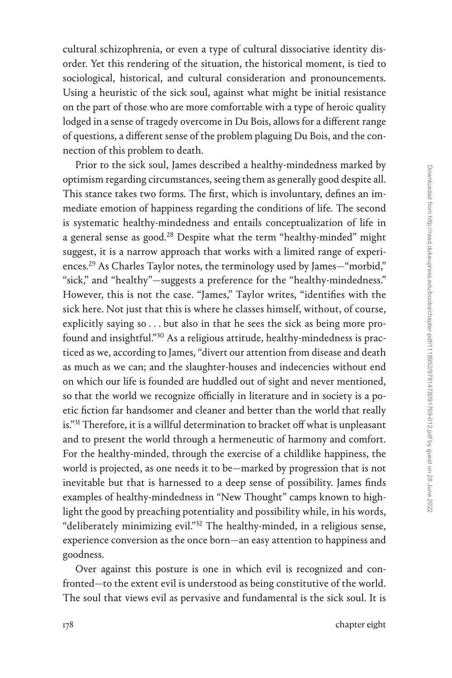cultural schizophrenia, or even a type of cultural dissociative identity disorder. Yet this rendering of the situation, the historical moment, is tied to sociological, historical, and cultural consideration and pronouncements. Using a heuristic of the sick soul, against what might be initial resistance on the part of those who are more comfortable with a type of heroic quality lodged in a sense of tragedy overcome in Du Bois, allows for a different range of questions, a different sense of the problem plaguing Du Bois, and the connection of this problem to death.

Prior to the sick soul, James described a healthy-mindedness marked by optimism regarding circumstances, seeing them as generally good despite all. This stance takes two forms. The first, which is involuntary, defines an immediate emotion of happiness regarding the conditions of life. The second is systematic healthy-mindedness and entails conceptualization of life in a general sense as good.<sup>28</sup> Despite what the term "healthy-minded" might suggest, it is a narrow approach that works with a limited range of experiences.[29](#page--1-0) As Charles Taylor notes, the terminology used by James—"morbid," "sick," and "healthy"—suggests a preference for the "healthy-mindedness." However, this is not the case. "James," Taylor writes, "identifies with the sick here. Not just that this is where he classes himself, without, of course, explicitly saying so . . . but also in that he sees the sick as being more profound and insightful."[30](#page--1-0) As a religious attitude, healthy-mindedness is practiced as we, according to James, "divert our attention from disease and death as much as we can; and the slaughter-houses and indecencies without end on which our life is founded are huddled out of sight and never mentioned, so that the world we recognize officially in literature and in society is a poetic fiction far handsomer and cleaner and better than the world that really is."<sup>31</sup> Therefore, it is a willful determination to bracket off what is unpleasant and to present the world through a hermeneutic of harmony and comfort. For the healthy-minded, through the exercise of a childlike happiness, the world is projected, as one needs it to be—marked by progression that is not inevitable but that is harnessed to a deep sense of possibility. James finds examples of healthy-mindedness in "New Thought" camps known to highlight the good by preaching potentiality and possibility while, in his words, "deliberately minimizing evil.["32](#page--1-0) The healthy-minded, in a religious sense, experience conversion as the once born—an easy attention to happiness and goodness.

Over against this posture is one in which evil is recognized and confronted—to the extent evil is understood as being constitutive of the world. The soul that views evil as pervasive and fundamental is the sick soul. It is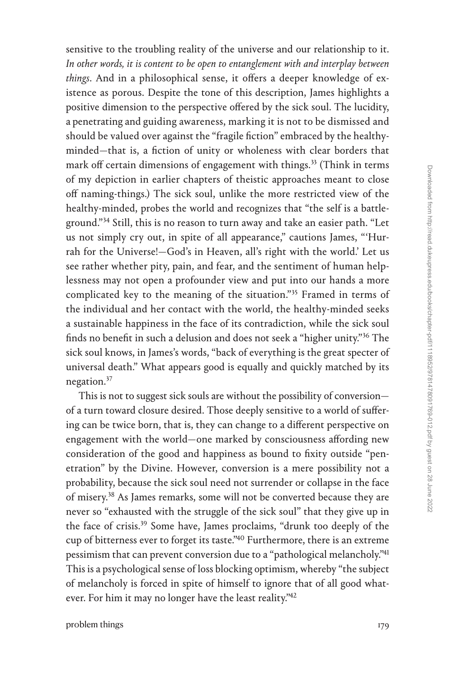sensitive to the troubling reality of the universe and our relationship to it. *In other words, it is content to be open to entanglement with and interplay between things*. And in a philosophical sense, it offers a deeper knowledge of existence as porous. Despite the tone of this description, James highlights a positive dimension to the perspective offered by the sick soul. The lucidity, a penetrating and guiding awareness, marking it is not to be dismissed and should be valued over against the "fragile fiction" embraced by the healthyminded—that is, a fiction of unity or wholeness with clear borders that mark off certain dimensions of engagement with things.<sup>33</sup> (Think in terms of my depiction in earlier chapters of theistic approaches meant to close off naming-things.) The sick soul, unlike the more restricted view of the healthy-minded, probes the world and recognizes that "the self is a battle-ground."<sup>[34](#page--1-0)</sup> Still, this is no reason to turn away and take an easier path. "Let us not simply cry out, in spite of all appearance," cautions James, "'Hurrah for the Universe!—God's in Heaven, all's right with the world.' Let us see rather whether pity, pain, and fear, and the sentiment of human helplessness may not open a profounder view and put into our hands a more complicated key to the meaning of the situation."<sup>35</sup> Framed in terms of the individual and her contact with the world, the healthy-minded seeks a sustainable happiness in the face of its contradiction, while the sick soul finds no benefit in such a delusion and does not seek a "higher unity."[36](#page--1-0) The sick soul knows, in James's words, "back of everything is the great specter of universal death." What appears good is equally and quickly matched by its negation.<sup>37</sup>

This is not to suggest sick souls are without the possibility of conversion of a turn toward closure desired. Those deeply sensitive to a world of suffering can be twice born, that is, they can change to a different perspective on engagement with the world—one marked by consciousness affording new consideration of the good and happiness as bound to fixity outside "penetration" by the Divine. However, conversion is a mere possibility not a probability, because the sick soul need not surrender or collapse in the face of misery.<sup>38</sup> As James remarks, some will not be converted because they are never so "exhausted with the struggle of the sick soul" that they give up in the face of crisis.<sup>39</sup> Some have, James proclaims, "drunk too deeply of the cup of bitterness ever to forget its taste.["40](#page--1-0) Furthermore, there is an extreme pessimism that can prevent conversion due to a "pathological melancholy.["41](#page--1-0) This is a psychological sense of loss blocking optimism, whereby "the subject of melancholy is forced in spite of himself to ignore that of all good whatever. For him it may no longer have the least reality.["42](#page--1-0)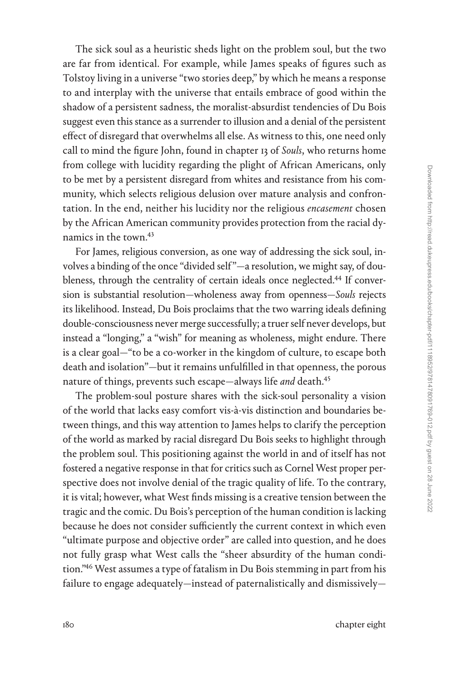The sick soul as a heuristic sheds light on the problem soul, but the two are far from identical. For example, while James speaks of figures such as Tolstoy living in a universe "two stories deep," by which he means a response to and interplay with the universe that entails embrace of good within the shadow of a persistent sadness, the moralist-absurdist tendencies of Du Bois suggest even this stance as a surrender to illusion and a denial of the persistent effect of disregard that overwhelms all else. As witness to this, one need only call to mind the figure John, found in chapter 13 of *Souls*, who returns home from college with lucidity regarding the plight of African Americans, only to be met by a persistent disregard from whites and resistance from his community, which selects religious delusion over mature analysis and confrontation. In the end, neither his lucidity nor the religious *encasement* chosen by the African American community provides protection from the racial dynamics in the town[.43](#page--1-0)

For James, religious conversion, as one way of addressing the sick soul, involves a binding of the once "divided self"—a resolution, we might say, of doubleness, through the centrality of certain ideals once neglected.<sup>44</sup> If conversion is substantial resolution—wholeness away from openness—*Souls* rejects its likelihood. Instead, Du Bois proclaims that the two warring ideals defining double-consciousness never merge successfully; a truer self never develops, but instead a "longing," a "wish" for meaning as wholeness, might endure. There is a clear goal—"to be a co-worker in the kingdom of culture, to escape both death and isolation"—but it remains unfulfilled in that openness, the porous nature of things, prevents such escape—always life *and* death.[45](#page--1-0)

The problem-soul posture shares with the sick-soul personality a vision of the world that lacks easy comfort vis-à-vis distinction and boundaries between things, and this way attention to James helps to clarify the perception of the world as marked by racial disregard Du Bois seeks to highlight through the problem soul. This positioning against the world in and of itself has not fostered a negative response in that for critics such as Cornel West proper perspective does not involve denial of the tragic quality of life. To the contrary, it is vital; however, what West finds missing is a creative tension between the tragic and the comic. Du Bois's perception of the human condition is lacking because he does not consider sufficiently the current context in which even "ultimate purpose and objective order" are called into question, and he does not fully grasp what West calls the "sheer absurdity of the human condition.["46](#page--1-0) West assumes a type of fatalism in Du Bois stemming in part from his failure to engage adequately—instead of paternalistically and dismissively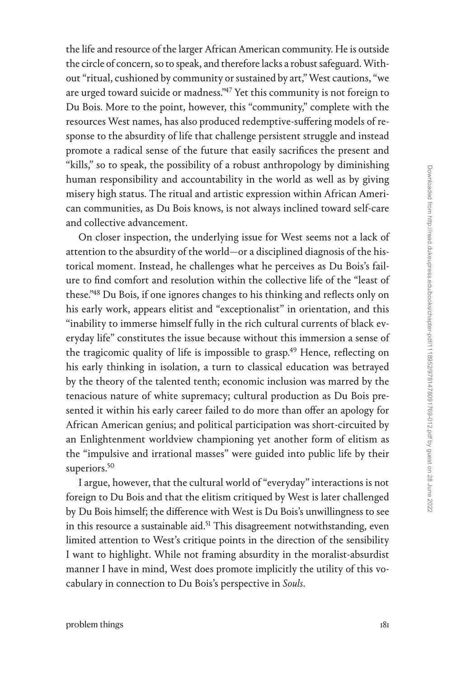the life and resource of the larger African American community. He is outside the circle of concern, so to speak, and therefore lacks a robust safeguard. Without "ritual, cushioned by community or sustained by art," West cautions, "we are urged toward suicide or madness.["47](#page--1-0) Yet this community is not foreign to Du Bois. More to the point, however, this "community," complete with the resources West names, has also produced redemptive-suffering models of response to the absurdity of life that challenge persistent struggle and instead promote a radical sense of the future that easily sacrifices the present and "kills," so to speak, the possibility of a robust anthropology by diminishing human responsibility and accountability in the world as well as by giving misery high status. The ritual and artistic expression within African American communities, as Du Bois knows, is not always inclined toward self-care and collective advancement.

On closer inspection, the underlying issue for West seems not a lack of attention to the absurdity of the world—or a disciplined diagnosis of the historical moment. Instead, he challenges what he perceives as Du Bois's failure to find comfort and resolution within the collective life of the "least of these.["48](#page--1-0) Du Bois, if one ignores changes to his thinking and reflects only on his early work, appears elitist and "exceptionalist" in orientation, and this "inability to immerse himself fully in the rich cultural currents of black everyday life" constitutes the issue because without this immersion a sense of the tragicomic quality of life is impossible to grasp.<sup>49</sup> Hence, reflecting on his early thinking in isolation, a turn to classical education was betrayed by the theory of the talented tenth; economic inclusion was marred by the tenacious nature of white supremacy; cultural production as Du Bois presented it within his early career failed to do more than offer an apology for African American genius; and political participation was short-circuited by an Enlightenment worldview championing yet another form of elitism as the "impulsive and irrational masses" were guided into public life by their superiors.<sup>50</sup>

I argue, however, that the cultural world of "everyday" interactions is not foreign to Du Bois and that the elitism critiqued by West is later challenged by Du Bois himself; the difference with West is Du Bois's unwillingness to see in this resource a sustainable aid.<sup>51</sup> This disagreement notwithstanding, even limited attention to West's critique points in the direction of the sensibility I want to highlight. While not framing absurdity in the moralist-absurdist manner I have in mind, West does promote implicitly the utility of this vocabulary in connection to Du Bois's perspective in *Souls*.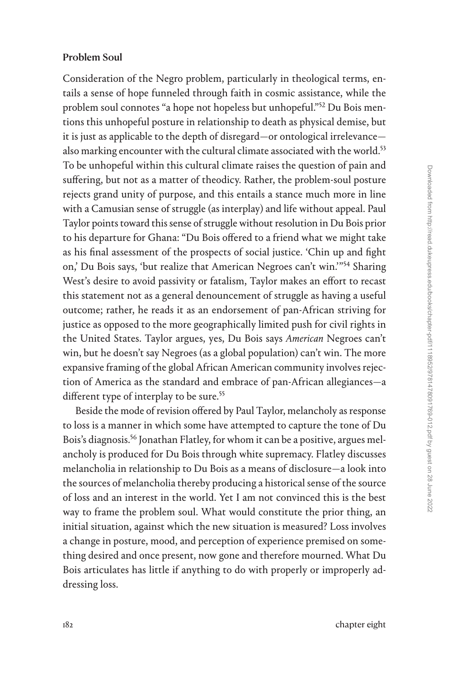## Problem Soul

Consideration of the Negro problem, particularly in theological terms, entails a sense of hope funneled through faith in cosmic assistance, while the problem soul connotes "a hope not hopeless but unhopeful."<sup>52</sup> Du Bois mentions this unhopeful posture in relationship to death as physical demise, but it is just as applicable to the depth of disregard—or ontological irrelevance also marking encounter with the cultural climate associated with the world.<sup>53</sup> To be unhopeful within this cultural climate raises the question of pain and suffering, but not as a matter of theodicy. Rather, the problem-soul posture rejects grand unity of purpose, and this entails a stance much more in line with a Camusian sense of struggle (as interplay) and life without appeal. Paul Taylor points toward this sense of struggle without resolution in Du Bois prior to his departure for Ghana: "Du Bois offered to a friend what we might take as his final assessment of the prospects of social justice. 'Chin up and fight on,' Du Bois says, 'but realize that American Negroes can't win.'["54](#page--1-0) Sharing West's desire to avoid passivity or fatalism, Taylor makes an effort to recast this statement not as a general denouncement of struggle as having a useful outcome; rather, he reads it as an endorsement of pan-African striving for justice as opposed to the more geographically limited push for civil rights in the United States. Taylor argues, yes, Du Bois says *American* Negroes can't win, but he doesn't say Negroes (as a global population) can't win. The more expansive framing of the global African American community involves rejection of America as the standard and embrace of pan-African allegiances—a different type of interplay to be sure.<sup>55</sup>

Beside the mode of revision offered by Paul Taylor, melancholy as response to loss is a manner in which some have attempted to capture the tone of Du Bois's diagnosis.<sup>56</sup> Jonathan Flatley, for whom it can be a positive, argues melancholy is produced for Du Bois through white supremacy. Flatley discusses melancholia in relationship to Du Bois as a means of disclosure—a look into the sources of melancholia thereby producing a historical sense of the source of loss and an interest in the world. Yet I am not convinced this is the best way to frame the problem soul. What would constitute the prior thing, an initial situation, against which the new situation is measured? Loss involves a change in posture, mood, and perception of experience premised on something desired and once present, now gone and therefore mourned. What Du Bois articulates has little if anything to do with properly or improperly addressing loss.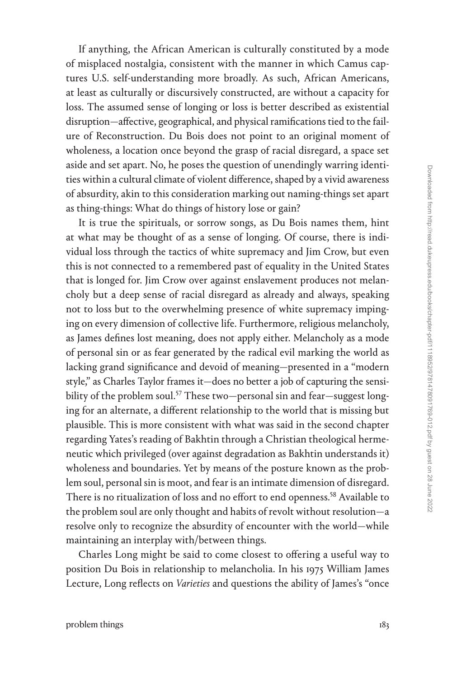If anything, the African American is culturally constituted by a mode of misplaced nostalgia, consistent with the manner in which Camus captures U.S. self-understanding more broadly. As such, African Americans, at least as culturally or discursively constructed, are without a capacity for loss. The assumed sense of longing or loss is better described as existential disruption—affective, geographical, and physical ramifications tied to the failure of Reconstruction. Du Bois does not point to an original moment of wholeness, a location once beyond the grasp of racial disregard, a space set aside and set apart. No, he poses the question of unendingly warring identities within a cultural climate of violent difference, shaped by a vivid awareness of absurdity, akin to this consideration marking out naming-things set apart as thing-things: What do things of history lose or gain?

It is true the spirituals, or sorrow songs, as Du Bois names them, hint at what may be thought of as a sense of longing. Of course, there is individual loss through the tactics of white supremacy and Jim Crow, but even this is not connected to a remembered past of equality in the United States that is longed for. Jim Crow over against enslavement produces not melancholy but a deep sense of racial disregard as already and always, speaking not to loss but to the overwhelming presence of white supremacy impinging on every dimension of collective life. Furthermore, religious melancholy, as James defines lost meaning, does not apply either. Melancholy as a mode of personal sin or as fear generated by the radical evil marking the world as lacking grand significance and devoid of meaning—presented in a "modern style," as Charles Taylor frames it—does no better a job of capturing the sensibility of the problem soul.<sup>57</sup> These two—personal sin and fear—suggest longing for an alternate, a different relationship to the world that is missing but plausible. This is more consistent with what was said in the second chapter regarding Yates's reading of Bakhtin through a Christian theological hermeneutic which privileged (over against degradation as Bakhtin understands it) wholeness and boundaries. Yet by means of the posture known as the problem soul, personal sin is moot, and fear is an intimate dimension of disregard. There is no ritualization of loss and no effort to end openness.<sup>58</sup> Available to the problem soul are only thought and habits of revolt without resolution—a resolve only to recognize the absurdity of encounter with the world—while maintaining an interplay with/between things.

Charles Long might be said to come closest to offering a useful way to position Du Bois in relationship to melancholia. In his 1975 William James Lecture, Long reflects on *Varieties* and questions the ability of James's "once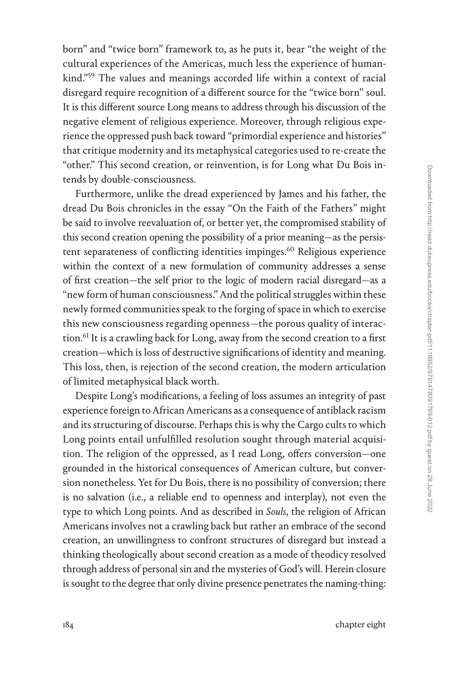born" and "twice born" framework to, as he puts it, bear "the weight of the cultural experiences of the Americas, much less the experience of humankind.["59](#page--1-0) The values and meanings accorded life within a context of racial disregard require recognition of a different source for the "twice born" soul. It is this different source Long means to address through his discussion of the negative element of religious experience. Moreover, through religious experience the oppressed push back toward "primordial experience and histories" that critique modernity and its metaphysical categories used to re-create the "other." This second creation, or reinvention, is for Long what Du Bois intends by double-consciousness.

Furthermore, unlike the dread experienced by James and his father, the dread Du Bois chronicles in the essay "On the Faith of the Fathers" might be said to involve reevaluation of, or better yet, the compromised stability of this second creation opening the possibility of a prior meaning—as the persistent separateness of conflicting identities impinges[.60](#page--1-0) Religious experience within the context of a new formulation of community addresses a sense of first creation—the self prior to the logic of modern racial disregard—as a "new form of human consciousness." And the political struggles within these newly formed communities speak to the forging of space in which to exercise this new consciousness regarding openness—the porous quality of interaction.<sup>61</sup> It is a crawling back for Long, away from the second creation to a first creation—which is loss of destructive significations of identity and meaning. This loss, then, is rejection of the second creation, the modern articulation of limited metaphysical black worth.

Despite Long's modifications, a feeling of loss assumes an integrity of past experience foreign to African Americans as a consequence of antiblack racism and its structuring of discourse. Perhaps this is why the Cargo cults to which Long points entail unfulfilled resolution sought through material acquisition. The religion of the oppressed, as I read Long, offers conversion—one grounded in the historical consequences of American culture, but conversion nonetheless. Yet for Du Bois, there is no possibility of conversion; there is no salvation (i.e., a reliable end to openness and interplay), not even the type to which Long points. And as described in *Souls*, the religion of African Americans involves not a crawling back but rather an embrace of the second creation, an unwillingness to confront structures of disregard but instead a thinking theologically about second creation as a mode of theodicy resolved through address of personal sin and the mysteries of God's will. Herein closure is sought to the degree that only divine presence penetrates the naming-thing: